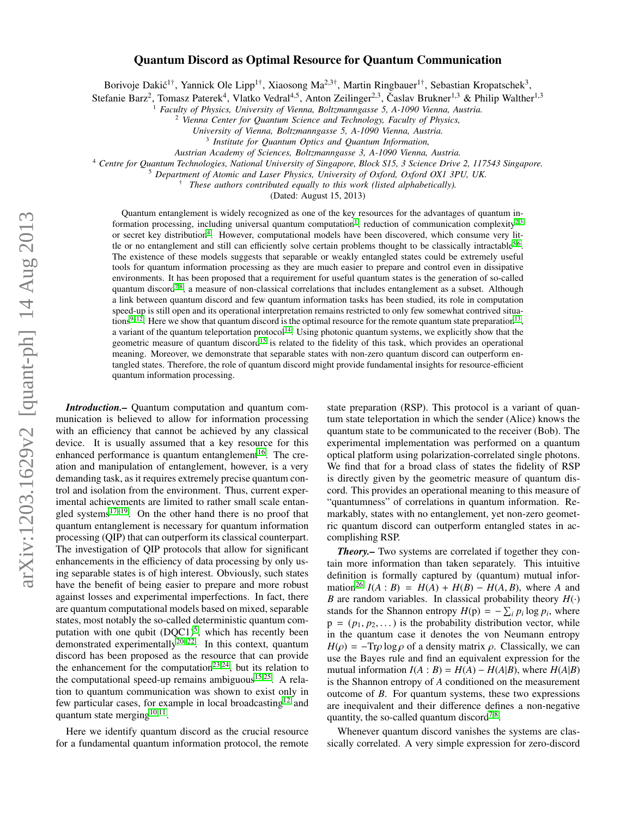## Quantum Discord as Optimal Resource for Quantum Communication

Borivoje Dakić<sup>1†</sup>, Yannick Ole Lipp<sup>1†</sup>, Xiaosong Ma<sup>2,3†</sup>, Martin Ringbauer<sup>1†</sup>, Sebastian Kropatschek<sup>3</sup>,

Stefanie Barz<sup>2</sup>, Tomasz Paterek<sup>4</sup>, Vlatko Vedral<sup>4,5</sup>, Anton Zeilinger<sup>2,3</sup>, Časlav Brukner<sup>1,3</sup> & Philip Walther<sup>1,3</sup>

<sup>1</sup> *Faculty of Physics, University of Vienna, Boltzmanngasse 5, A-1090 Vienna, Austria.*

<sup>2</sup> *Vienna Center for Quantum Science and Technology, Faculty of Physics,*

*University of Vienna, Boltzmanngasse 5, A-1090 Vienna, Austria.*

*Austrian Academy of Sciences, Boltzmanngasse 3, A-1090 Vienna, Austria.*

<sup>4</sup> *Centre for Quantum Technologies, National University of Singapore, Block S15, 3 Science Drive 2, 117543 Singapore.*

<sup>5</sup> *Department of Atomic and Laser Physics, University of Oxford, Oxford OX1 3PU, UK.*

† *These authors contributed equally to this work (listed alphabetically).*

(Dated: August 15, 2013)

Quantum entanglement is widely recognized as one of the key resources for the advantages of quantum in-formation processing, including universal quantum computation<sup>[1](#page-4-0)</sup>, reduction of communication complexity<sup>[2](#page-4-1)[,3](#page-4-2)</sup> or secret key distribution<sup>[4](#page-4-3)</sup>. However, computational models have been discovered, which consume very lit-tle or no entanglement and still can efficiently solve certain problems thought to be classically intractable<sup>[5,](#page-4-4)[6](#page-4-5)</sup>. The existence of these models suggests that separable or weakly entangled states could be extremely useful tools for quantum information processing as they are much easier to prepare and control even in dissipative environments. It has been proposed that a requirement for useful quantum states is the generation of so-called quantum discord<sup>[7](#page-4-6)[,8](#page-4-7)</sup>, a measure of non-classical correlations that includes entanglement as a subset. Although a link between quantum discord and few quantum information tasks has been studied, its role in computation speed-up is still open and its operational interpretation remains restricted to only few somewhat contrived situa-tions<sup>[9](#page-4-8)[–12](#page-4-9)</sup>. Here we show that quantum discord is the optimal resource for the remote quantum state preparation<sup>[13](#page-4-10)</sup> , a variant of the quantum teleportation protocol<sup>[14](#page-4-11)</sup>. Using photonic quantum systems, we explicitly show that the geometric measure of quantum discord<sup>[15](#page-4-12)</sup> is related to the fidelity of this task, which provides an operational meaning. Moreover, we demonstrate that separable states with non-zero quantum discord can outperform entangled states. Therefore, the role of quantum discord might provide fundamental insights for resource-efficient quantum information processing.

*Introduction.–* Quantum computation and quantum communication is believed to allow for information processing with an efficiency that cannot be achieved by any classical device. It is usually assumed that a key resource for this enhanced performance is quantum entanglement<sup>[16](#page-4-13)</sup>. The creation and manipulation of entanglement, however, is a very demanding task, as it requires extremely precise quantum control and isolation from the environment. Thus, current experimental achievements are limited to rather small scale entangled systems $17-19$  $17-19$ . On the other hand there is no proof that quantum entanglement is necessary for quantum information processing (QIP) that can outperform its classical counterpart. The investigation of QIP protocols that allow for significant enhancements in the efficiency of data processing by only using separable states is of high interest. Obviously, such states have the benefit of being easier to prepare and more robust against losses and experimental imperfections. In fact, there are quantum computational models based on mixed, separable states, most notably the so-called deterministic quantum computation with one qubit  $(DQC1)^5$  $(DQC1)^5$ , which has recently been demonstrated experimentally<sup>[20–](#page-5-1)[22](#page-5-2)</sup>. In this context, quantum discord has been proposed as the resource that can provide the enhancement for the computation<sup>[23](#page-5-3)[,24](#page-5-4)</sup>, but its relation to the computational speed-up remains ambiguous $15,25$  $15,25$ . A relation to quantum communication was shown to exist only in few particular cases, for example in local broadcasting<sup>[12](#page-4-9)</sup> and quantum state merging $10,11$  $10,11$ .

Here we identify quantum discord as the crucial resource for a fundamental quantum information protocol, the remote

state preparation (RSP). This protocol is a variant of quantum state teleportation in which the sender (Alice) knows the quantum state to be communicated to the receiver (Bob). The experimental implementation was performed on a quantum optical platform using polarization-correlated single photons. We find that for a broad class of states the fidelity of RSP is directly given by the geometric measure of quantum discord. This provides an operational meaning to this measure of "quantumness" of correlations in quantum information. Remarkably, states with no entanglement, yet non-zero geometric quantum discord can outperform entangled states in accomplishing RSP.

*Theory.–* Two systems are correlated if together they contain more information than taken separately. This intuitive definition is formally captured by (quantum) mutual infor-mation<sup>[26](#page-5-6)</sup> *I*(*A* : *B*) = *H*(*A*) + *H*(*B*) – *H*(*A*, *B*), where *A* and *B* are random variables. In classical probability theory  $H(\cdot)$ stands for the Shannon entropy  $H(p) = -\sum_i p_i \log p_i$ , where  $p = (p_1, p_2, \dots)$  is the probability distribution vector, while in the quantum case it denotes the von Neumann entropy  $H(\rho) = -Tr\rho \log \rho$  of a density matrix  $\rho$ . Classically, we can use the Bayes rule and find an equivalent expression for the mutual information  $I(A : B) = H(A) - H(A|B)$ , where  $H(A|B)$ is the Shannon entropy of *A* conditioned on the measurement outcome of *B*. For quantum systems, these two expressions are inequivalent and their difference defines a non-negative quantity, the so-called quantum discord<sup>[7](#page-4-6)[,8](#page-4-7)</sup>.

Whenever quantum discord vanishes the systems are classically correlated. A very simple expression for zero-discord

<sup>3</sup> *Institute for Quantum Optics and Quantum Information,*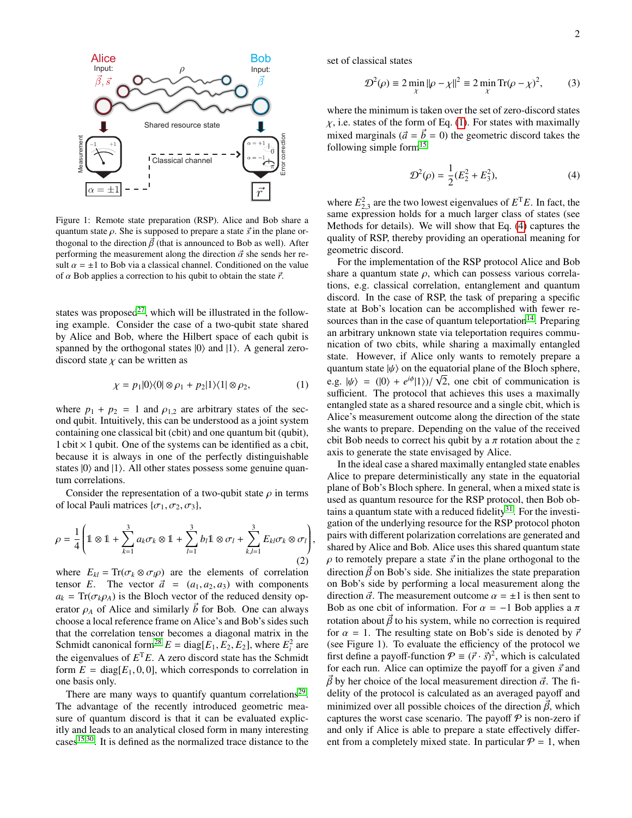

Figure 1: Remote state preparation (RSP). Alice and Bob share a quantum state  $\rho$ . She is supposed to prepare a state  $\vec{s}$  in the plane orthogonal to the direction  $\vec{\beta}$  (that is announced to Bob as well). After performing the measurement along the direction  $\vec{\alpha}$  she sends her result  $\alpha = \pm 1$  to Bob via a classical channel. Conditioned on the value of  $\alpha$  Bob applies a correction to his qubit to obtain the state  $\vec{r}$ .

states was proposed $^{27}$  $^{27}$  $^{27}$ , which will be illustrated in the following example. Consider the case of a two-qubit state shared by Alice and Bob, where the Hilbert space of each qubit is spanned by the orthogonal states  $|0\rangle$  and  $|1\rangle$ . A general zerodiscord state  $\chi$  can be written as

<span id="page-1-0"></span>
$$
\chi = p_1|0\rangle\langle 0| \otimes \rho_1 + p_2|1\rangle\langle 1| \otimes \rho_2,\tag{1}
$$

where  $p_1 + p_2 = 1$  and  $p_{1,2}$  are arbitrary states of the second qubit. Intuitively, this can be understood as a joint system containing one classical bit (cbit) and one quantum bit (qubit),  $1$  cbit  $\times$  1 qubit. One of the systems can be identified as a cbit, because it is always in one of the perfectly distinguishable states  $|0\rangle$  and  $|1\rangle$ . All other states possess some genuine quantum correlations.

Consider the representation of a two-qubit state  $\rho$  in terms of local Pauli matrices  $\{\sigma_1, \sigma_2, \sigma_3\}$ ,

$$
\rho = \frac{1}{4} \left( \mathbb{1} \otimes \mathbb{1} + \sum_{k=1}^{3} a_k \sigma_k \otimes \mathbb{1} + \sum_{l=1}^{3} b_l \mathbb{1} \otimes \sigma_l + \sum_{k,l=1}^{3} E_{kl} \sigma_k \otimes \sigma_l \right),\tag{2}
$$

where  $E_{kl} = \text{Tr}(\sigma_k \otimes \sigma_l \rho)$  are the elements of correlation tensor *E*. The vector  $\vec{a} = (a_1, a_2, a_3)$  with components  $a_k = \text{Tr}(\sigma_k \rho_A)$  is the Bloch vector of the reduced density operator  $\rho_A$  of Alice and similarly  $\vec{b}$  for Bob. One can always choose a local reference frame on Alice's and Bob's sides such that the correlation tensor becomes a diagonal matrix in the Schmidt canonical form<sup>[28](#page-5-8)</sup>  $E = diag[E_1, E_2, E_2]$ , where  $E_i^2$  are<br>the eigenvalues of  $E_{i}^T E_{i}$ . A zero discord state has the Schmidt the eigenvalues of  $E<sup>T</sup>E$ . A zero discord state has the Schmidt form  $E = diag[E_1, 0, 0]$ , which corresponds to correlation in one basis only.

There are many ways to quantify quantum correlations<sup>[29](#page-5-9)</sup>. The advantage of the recently introduced geometric measure of quantum discord is that it can be evaluated explicitly and leads to an analytical closed form in many interesting cases[15,](#page-4-12)[30](#page-5-10). It is defined as the normalized trace distance to the

set of classical states

$$
\mathcal{D}^2(\rho) \equiv 2 \min_{\chi} ||\rho - \chi||^2 \equiv 2 \min_{\chi} \text{Tr}(\rho - \chi)^2, \quad (3)
$$

where the minimum is taken over the set of zero-discord states  $\chi$ , i.e. states of the form of Eq. [\(1\)](#page-1-0). For states with maximally mixed marginals ( $\vec{a} = \vec{b} = 0$ ) the geometric discord takes the following simple form $15$ 

<span id="page-1-1"></span>
$$
\mathcal{D}^2(\rho) = \frac{1}{2}(E_2^2 + E_3^2),\tag{4}
$$

where  $E_2^2$ , are the two lowest eigenvalues of  $E^T E$ . In fact, the where  $E_{2,3}$  are the two lowest eigenvalues of  $E_{2,3}$ . In fact, the same expression holds for a much larger class of states (see Methods for details). We will show that Eq. [\(4\)](#page-1-1) captures the quality of RSP, thereby providing an operational meaning for geometric discord.

For the implementation of the RSP protocol Alice and Bob share a quantum state  $\rho$ , which can possess various correlations, e.g. classical correlation, entanglement and quantum discord. In the case of RSP, the task of preparing a specific state at Bob's location can be accomplished with fewer re-sources than in the case of quantum teleportation<sup>[14](#page-4-11)</sup>. Preparing an arbitrary unknown state via teleportation requires communication of two cbits, while sharing a maximally entangled state. However, if Alice only wants to remotely prepare a quantum state  $|\psi\rangle$  on the equatorial plane of the Bloch sphere,<br>e.g.  $|\psi\rangle = (0) + e^{i\phi} |1\rangle / \sqrt{2}$  are shit of communication is e.g.  $|\psi\rangle = (0) + e^{i\phi} |1\rangle / \sqrt{2}$ , one cbit of communication is<br>sufficient. The protocol that achieves this uses a maximally sufficient. The protocol that achieves this uses a maximally entangled state as a shared resource and a single cbit, which is Alice's measurement outcome along the direction of the state she wants to prepare. Depending on the value of the received cbit Bob needs to correct his qubit by a  $\pi$  rotation about the *z* axis to generate the state envisaged by Alice.

In the ideal case a shared maximally entangled state enables Alice to prepare deterministically any state in the equatorial plane of Bob's Bloch sphere. In general, when a mixed state is used as quantum resource for the RSP protocol, then Bob obtains a quantum state with a reduced fidelity $31$ . For the investigation of the underlying resource for the RSP protocol photon pairs with different polarization correlations are generated and shared by Alice and Bob. Alice uses this shared quantum state  $\rho$  to remotely prepare a state  $\vec{s}$  in the plane orthogonal to the direction  $\vec{\beta}$  on Bob's side. She initializes the state preparation on Bob's side by performing a local measurement along the direction  $\vec{\alpha}$ . The measurement outcome  $\alpha = \pm 1$  is then sent to Bob as one cbit of information. For  $\alpha = -1$  Bob applies a  $\pi$ rotation about  $\vec{\beta}$  to his system, while no correction is required for  $\alpha = 1$ . The resulting state on Bob's side is denoted by  $\vec{r}$ (see Figure 1). To evaluate the efficiency of the protocol we first define a payoff-function  $\mathcal{P} \equiv (\vec{r} \cdot \vec{s})^2$ , which is calculated for each run. Alice can optimize the payoff for a given  $\vec{s}$  and for each run. Alice can optimize the payoff for a given  $\vec{s}$  and  $\vec{\beta}$  by her choice of the local measurement direction  $\vec{\alpha}$ . The fidelity of the protocol is calculated as an averaged payoff and minimized over all possible choices of the direction  $\vec{\beta}$ , which captures the worst case scenario. The payoff  $P$  is non-zero if and only if Alice is able to prepare a state effectively different from a completely mixed state. In particular  $P = 1$ , when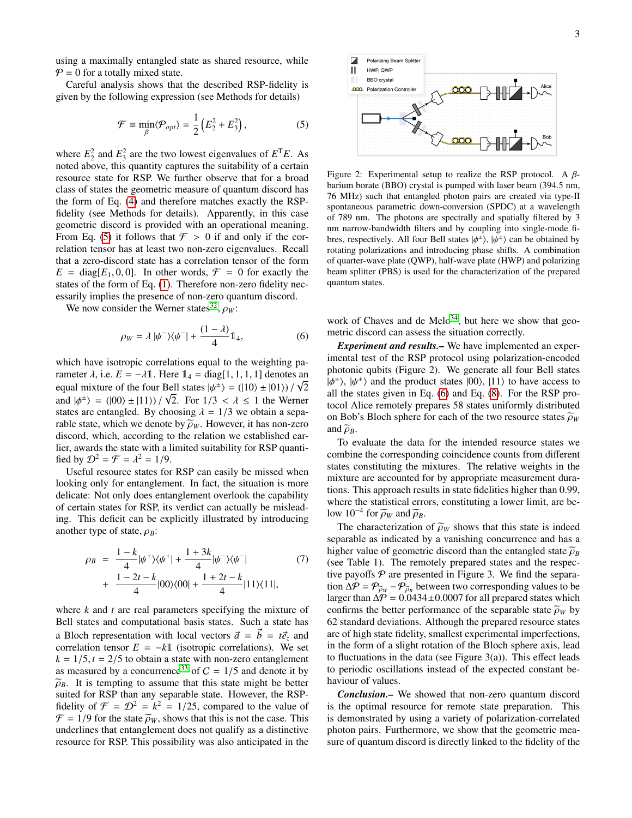using a maximally entangled state as shared resource, while  $P = 0$  for a totally mixed state.

Careful analysis shows that the described RSP-fidelity is given by the following expression (see Methods for details)

<span id="page-2-0"></span>
$$
\mathcal{F} \equiv \min_{\beta} \langle \mathcal{P}_{opt} \rangle = \frac{1}{2} \left( E_2^2 + E_3^2 \right),\tag{5}
$$

where  $E_2^2$  and  $E_3^2$  are the two lowest eigenvalues of  $E^T E$ . As noted above, this quantity captures the suitability of a certain resource state for RSP. We further observe that for a broad class of states the geometric measure of quantum discord has the form of Eq. [\(4\)](#page-1-1) and therefore matches exactly the RSPfidelity (see Methods for details). Apparently, in this case geometric discord is provided with an operational meaning. From Eq. [\(5\)](#page-2-0) it follows that  $\mathcal{F} > 0$  if and only if the correlation tensor has at least two non-zero eigenvalues. Recall that a zero-discord state has a correlation tensor of the form  $E = \text{diag}[E_1, 0, 0]$ . In other words,  $\mathcal{F} = 0$  for exactly the states of the form of Eq. [\(1\)](#page-1-0). Therefore non-zero fidelity necessarily implies the presence of non-zero quantum discord.

We now consider the Werner states<sup>[32](#page-5-12)</sup>,  $\rho_W$ :

<span id="page-2-1"></span>
$$
\rho_W = \lambda |\psi^-\rangle\langle\psi^-| + \frac{(1-\lambda)}{4} \mathbb{1}_4,\tag{6}
$$

which have isotropic correlations equal to the weighting parameter  $\lambda$ , i.e.  $E = -\lambda \mathbb{1}$ . Here  $\mathbb{1}_4 = \text{diag}[1, 1, 1, 1]$  denotes an equal mixture of the four Bell states  $\mu/\sqrt{2} = (110) + 101$ .)  $\sqrt{2}$ equal mixture of the four Bell states  $|\psi^{\pm}\rangle = (|10\rangle \pm |01\rangle)/\sqrt{2}$ <br>and  $|\phi^{\pm}\rangle = (|00\rangle \pm |11\rangle)/\sqrt{2}$ . For  $1/3 < \lambda < 1$  the Werner and  $|\phi^{\pm}\rangle = (00) \pm |11\rangle)/\sqrt{2}$ . For  $1/3 < \lambda \le 1$  the Werner states are entangled. By choosing  $\lambda = 1/3$  we obtain a sepastates are entangled. By choosing  $\lambda = 1/3$  we obtain a separable state, which we denote by  $\widetilde{\rho}_W$ . However, it has non-zero discord, which, according to the relation we established earlier, awards the state with a limited suitability for RSP quantified by  $\mathcal{D}^2 = \mathcal{F} = \lambda^2 = 1/9$ .<br>
Useful resource states for

Useful resource states for RSP can easily be missed when looking only for entanglement. In fact, the situation is more delicate: Not only does entanglement overlook the capability of certain states for RSP, its verdict can actually be misleading. This deficit can be explicitly illustrated by introducing another type of state,  $\rho_B$ :

<span id="page-2-2"></span>
$$
\rho_B = \frac{1 - k}{4} |\psi^+\rangle\langle\psi^+| + \frac{1 + 3k}{4} |\psi^-\rangle\langle\psi^-|
$$
  
+ 
$$
\frac{1 - 2t - k}{4} |00\rangle\langle00| + \frac{1 + 2t - k}{4} |11\rangle\langle11|,
$$
 (7)

where *k* and *t* are real parameters specifying the mixture of Bell states and computational basis states. Such a state has a Bloch representation with local vectors  $\vec{a} = \vec{b} = t\vec{e}_z$  and correlation tensor  $E = -k\mathbb{1}$  (isotropic correlations). We set  $k = 1/5$ ,  $t = 2/5$  to obtain a state with non-zero entanglement<br>as measured by a concurrence<sup>33</sup> of  $C = 1/5$  and denote it by as measured by a concurrence<sup>[33](#page-5-13)</sup> of  $C = 1/5$  and denote it by  $\tilde{a}_R$ . It is tempting to assume that this state might be better  $\widetilde{\rho}_B$ . It is tempting to assume that this state might be better suited for RSP than any separable state. However, the RSPfidelity of  $\mathcal{F} = \mathcal{D}^2 = k^2 = 1/25$ , compared to the value of  $\mathcal{F} = 1/9$  for the state  $\tilde{\alpha}_w$ , shows that this is not the case. This  $\mathcal{F} = 1/9$  for the state  $\tilde{\rho}_W$ , shows that this is not the case. This underlines that entanglement does not qualify as a distinctive resource for RSP. This possibility was also anticipated in the



Figure 2: Experimental setup to realize the RSP protocol. A  $\beta$ barium borate (BBO) crystal is pumped with laser beam (394.5 nm, 76 MHz) such that entangled photon pairs are created via type-II spontaneous parametric down-conversion (SPDC) at a wavelength of 789 nm. The photons are spectrally and spatially filtered by 3 nm narrow-bandwidth filters and by coupling into single-mode fibres, respectively. All four Bell states  $|\phi^{\pm}\rangle$ ,  $|\psi^{\pm}\rangle$  can be obtained by rotating polarizations and introducing phase shifts. A combination rotating polarizations and introducing phase shifts. A combination of quarter-wave plate (QWP), half-wave plate (HWP) and polarizing beam splitter (PBS) is used for the characterization of the prepared quantum states.

work of Chaves and de Melo<sup>[34](#page-5-14)</sup>, but here we show that geometric discord can assess the situation correctly.

*Experiment and results.–* We have implemented an experimental test of the RSP protocol using polarization-encoded photonic qubits (Figure 2). We generate all four Bell states  $|\phi^{\pm}\rangle$ ,  $|\psi^{\pm}\rangle$  and the product states  $|00\rangle$ ,  $|11\rangle$  to have access to all the states given in Eq. (6) and Eq. (8). For the RSP proall the states given in Eq. [\(6\)](#page-2-1) and Eq. [\(8\)](#page-2-2). For the RSP protocol Alice remotely prepares 58 states uniformly distributed on Bob's Bloch sphere for each of the two resource states  $\tilde{\rho}_W$ and  $\widetilde{\rho}_B$ .

To evaluate the data for the intended resource states we combine the corresponding coincidence counts from different states constituting the mixtures. The relative weights in the mixture are accounted for by appropriate measurement durations. This approach results in state fidelities higher than 0.99, where the statistical errors, constituting a lower limit, are below 10<sup>-4</sup> for  $\widetilde{\rho}_W$  and  $\widetilde{\rho}_B$ .<br>The eperatorization

The characterization of  $\tilde{\rho}_W$  shows that this state is indeed separable as indicated by a vanishing concurrence and has a higher value of geometric discord than the entangled state  $\tilde{\rho}_B$ (see Table 1). The remotely prepared states and the respective payoffs  $P$  are presented in Figure 3. We find the separation  $\Delta \mathcal{P} = \mathcal{P}_{\widetilde{\rho}_W} - \mathcal{P}_{\widetilde{\rho}_B}$  between two corresponding values to be<br>larger than  $\Delta \mathcal{P} = 0.0434 \pm 0.0007$  for all prepared states which larger than  $\Delta \overline{P} = 0.0434 \pm 0.0007$  for all prepared states which confirms the better performance of the separable state  $\tilde{\rho}_W$  by 62 standard deviations. Although the prepared resource states are of high state fidelity, smallest experimental imperfections, in the form of a slight rotation of the Bloch sphere axis, lead to fluctuations in the data (see Figure  $3(a)$ ). This effect leads to periodic oscillations instead of the expected constant behaviour of values.

*Conclusion.–* We showed that non-zero quantum discord is the optimal resource for remote state preparation. This is demonstrated by using a variety of polarization-correlated photon pairs. Furthermore, we show that the geometric measure of quantum discord is directly linked to the fidelity of the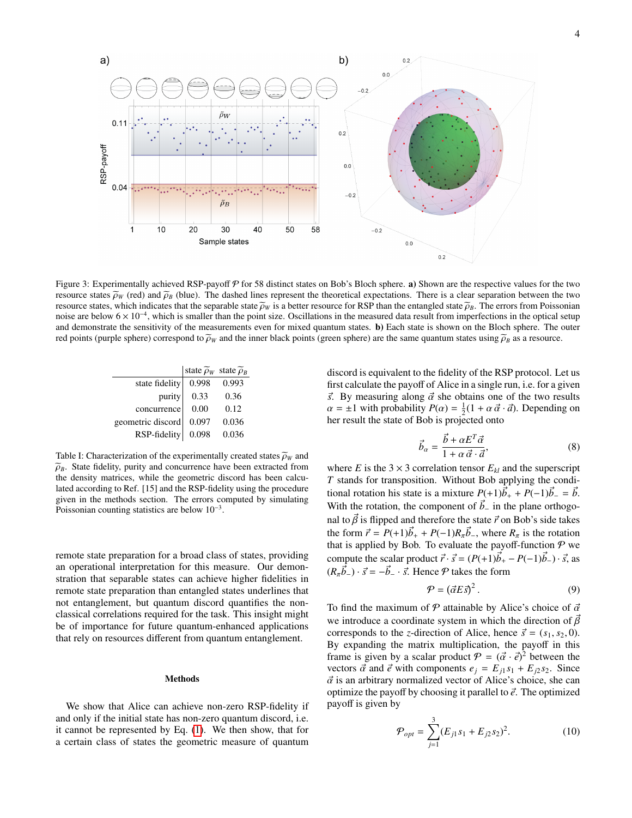

Figure 3: Experimentally achieved RSP-payoff  $P$  for 58 distinct states on Bob's Bloch sphere. a) Shown are the respective values for the two resource states  $\tilde{\rho}_W$  (red) and  $\tilde{\rho}_B$  (blue). The dashed lines represent the theoretical expectations. There is a clear separation between the two resource states, which indicates that the separable state  $\tilde{\rho}_W$  is a better resource for RSP than the entangled state  $\tilde{\rho}_B$ . The errors from Poissonian noise are below  $6 \times 10^{-4}$ , which is smaller than the point size. Oscillations in the measured data result from imperfections in the optical setup and demonstrate the sensitivity of the measurements even for mixed quantum states. b) Each state is shown on the Bloch sphere. The outer red points (purple sphere) correspond to  $\tilde{\rho}_W$  and the inner black points (green sphere) are the same quantum states using  $\tilde{\rho}_B$  as a resource.

|                   | state $\widetilde{\rho}_W$ state $\widetilde{\rho}_B$ |       |
|-------------------|-------------------------------------------------------|-------|
| state fidelity    | 0.998                                                 | 0.993 |
| purity            | 0.33                                                  | 0.36  |
| concurrence       | 0.00                                                  | 0.12  |
| geometric discord | 0.097                                                 | 0.036 |
| RSP-fidelity      | 0.098                                                 | 0.036 |
|                   |                                                       |       |

Table I: Characterization of the experimentally created states  $\widetilde{\rho}_W$  and  $\widetilde{\rho}_B$ . State fidelity, purity and concurrence have been extracted from the density matrices, while the geometric discord has been calculated according to Ref. [15] and the RSP-fidelity using the procedure given in the methods section. The errors computed by simulating Poissonian counting statistics are below 10<sup>-3</sup>.

remote state preparation for a broad class of states, providing an operational interpretation for this measure. Our demonstration that separable states can achieve higher fidelities in remote state preparation than entangled states underlines that not entanglement, but quantum discord quantifies the nonclassical correlations required for the task. This insight might be of importance for future quantum-enhanced applications that rely on resources different from quantum entanglement.

## Methods

We show that Alice can achieve non-zero RSP-fidelity if and only if the initial state has non-zero quantum discord, i.e. it cannot be represented by Eq. [\(1\)](#page-1-0). We then show, that for a certain class of states the geometric measure of quantum

discord is equivalent to the fidelity of the RSP protocol. Let us first calculate the payoff of Alice in a single run, i.e. for a given  $\vec{s}$ . By measuring along  $\vec{\alpha}$  she obtains one of the two results  $\alpha = \pm 1$  with probability  $P(\alpha) = \frac{1}{2}(1 + \alpha \vec{\alpha} \cdot \vec{\alpha})$ . Depending on the result the state of Bob is projected onto her result the state of Bob is projected onto

$$
\vec{b}_{\alpha} = \frac{\vec{b} + \alpha E^T \vec{\alpha}}{1 + \alpha \vec{\alpha} \cdot \vec{a}},\tag{8}
$$

where *E* is the 3 × 3 correlation tensor  $E_{kl}$  and the superscript *T* stands for transposition. Without Bob applying the conditional rotation his state is a mixture  $P(+1)\vec{b}_+ + P(-1)\vec{b}_- = \vec{b}$ . With the rotation, the component of  $\vec{b}$ − in the plane orthogonal to  $\vec{\beta}$  is flipped and therefore the state  $\vec{r}$  on Bob's side takes the form  $\vec{r} = P(+1)\vec{b}_+ + P(-1)R_{\vec{n}}\vec{b}_-$ , where  $R_{\vec{n}}$  is the rotation<br>that is annied by Bob. To evaluate the payoff-function  $\mathcal{P}$  we that is applied by Bob. To evaluate the payoff-function  $P$  we compute the scalar product  $\vec{r} \cdot \vec{s} = (P(+1)\vec{b}_{+} - P(-1)\vec{b}_{-}) \cdot \vec{s}$ , as  $(R_{\pi} \vec{b}_{-}) \cdot \vec{s} = -\vec{b}_{-} \cdot \vec{s}$ . Hence  $P$  takes the form

$$
\mathcal{P} = (\vec{\alpha} E \vec{s})^2. \tag{9}
$$

To find the maximum of  $P$  attainable by Alice's choice of  $\vec{\alpha}$ we introduce a coordinate system in which the direction of  $\vec{\beta}$ corresponds to the *z*-direction of Alice, hence  $\vec{s} = (s_1, s_2, 0)$ . By expanding the matrix multiplication, the payoff in this frame is given by a scalar product  $P = (\vec{\alpha} \cdot \vec{e})^2$  between the vectors  $\vec{\alpha}$  and  $\vec{e}$  with components  $e_i = F_{i+1} s_i + F_{i+2} s_j$ . Since vectors  $\vec{\alpha}$  and  $\vec{e}$  with components  $e_j = E_{j1} s_1 + E_{j2} s_2$ . Since  $\vec{\alpha}$  is an arbitrary normalized vector of Alice's choice, she can optimize the payoff by choosing it parallel to  $\vec{e}$ . The optimized payoff is given by

$$
\mathcal{P}_{opt} = \sum_{j=1}^{3} (E_{j1} s_1 + E_{j2} s_2)^2.
$$
 (10)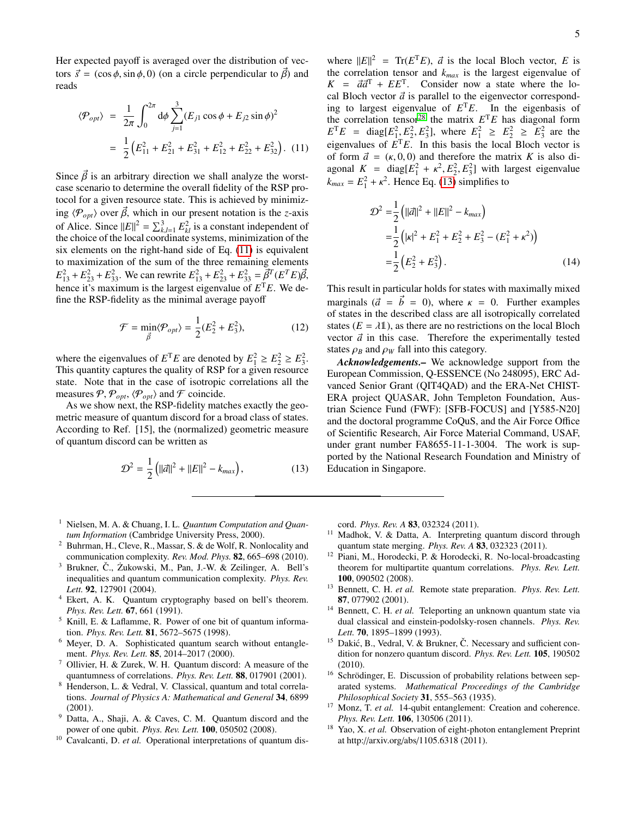Her expected payoff is averaged over the distribution of vectors  $\vec{s} = (\cos \phi, \sin \phi, 0)$  (on a circle perpendicular to  $\vec{\beta}$ ) and reads

<span id="page-4-17"></span>
$$
\langle \mathcal{P}_{opt} \rangle = \frac{1}{2\pi} \int_0^{2\pi} d\phi \sum_{j=1}^3 (E_{j1} \cos \phi + E_{j2} \sin \phi)^2
$$
  
=  $\frac{1}{2} (E_{11}^2 + E_{21}^2 + E_{31}^2 + E_{12}^2 + E_{22}^2 + E_{32}^2)$ . (11)

Since  $\vec{\beta}$  is an arbitrary direction we shall analyze the worstcase scenario to determine the overall fidelity of the RSP protocol for a given resource state. This is achieved by minimizing  $\langle P_{opt} \rangle$  over  $\vec{\beta}$ , which in our present notation is the *z*-axis of Alice. Since  $||E||^2 = \sum_{k,l=1}^3 E_{kl}^2$  is a constant independent of the choice of the local coordinate systems minimization of the the choice of the local coordinate systems, minimization of the six elements on the right-hand side of Eq. [\(11\)](#page-4-17) is equivalent to maximization of the sum of the three remaining elements  $E_{13}^2 + E_{23}^2 + E_{33}^2$ . We can rewrite  $E_{13}^2 + E_{23}^2 + E_{33}^2 = \vec{\beta}^T (E^T E) \vec{\beta}$ ,<br>hence it's maximum is the largest eigenvalue of  $E_{1E}$ . We de hence it's maximum is the largest eigenvalue of *E* <sup>T</sup>*E*. We define the RSP-fidelity as the minimal average payoff

$$
\mathcal{F} = \min_{\vec{\beta}} \langle \mathcal{P}_{opt} \rangle = \frac{1}{2} (E_2^2 + E_3^2),\tag{12}
$$

where the eigenvalues of  $E^{\text{T}}E$  are denoted by  $E_1^2 \ge E_2^2 \ge E_3^2$ . This quantity captures the quality of RSP for a given resource state. Note that in the case of isotropic correlations all the measures  $P, P_{opt}, \langle P_{opt} \rangle$  and F coincide.

As we show next, the RSP-fidelity matches exactly the geometric measure of quantum discord for a broad class of states. According to Ref. [15], the (normalized) geometric measure of quantum discord can be written as

<span id="page-4-18"></span>
$$
\mathcal{D}^2 = \frac{1}{2} (||\vec{a}||^2 + ||E||^2 - k_{max}), \qquad (13)
$$

where  $||E||^2 = Tr(E^T E)$ ,  $\vec{a}$  is the local Bloch vector, *E* is the correlation tensor and *k* is the largest eigenvalue of the correlation tensor and *kmax* is the largest eigenvalue of  $K = \vec{a}\vec{a}^{\text{T}} + E\vec{E}^{\text{T}}$ . Consider now a state where the lo-<br>cal Bloch vector  $\vec{a}$  is parallel to the eigenvector correspondcal Bloch vector  $\vec{a}$  is parallel to the eigenvector corresponding to largest eigenvalue of  $E<sup>T</sup>E$ . In the eigenbasis of the correlation tensor<sup>[28](#page-5-8)</sup> the matrix  $E<sup>T</sup>E$  has diagonal form  $E^{\text{T}}E = \text{diag}[E_1^2, E_2^2, E_3^2]$ , where  $E_1^2 \ge E_2^2 \ge E_3^2$  are the expression of  $E^{\text{T}}E$ , In this basis the local Bloch vector is eigenvalues of  $E<sup>T</sup>E$ . In this basis the local Bloch vector is of form  $\vec{a} = (\kappa, 0, 0)$  and therefore the matrix K is also diagonal  $K = \text{diag}[E_1^2 + \kappa^2, E_2^2, E_3^2]$  with largest eigenvalue<br> $\kappa = E_1^2 + \kappa^2$  Hence Eq. (13) simplifies to  $k_{max} = E_1^2 + \kappa^2$ . Hence Eq. [\(13\)](#page-4-18) simplifies to

$$
\mathcal{D}^2 = \frac{1}{2} \left( ||\vec{a}||^2 + ||E||^2 - k_{max} \right)
$$
  
=  $\frac{1}{2} \left( |\kappa|^2 + E_1^2 + E_2^2 + E_3^2 - (E_1^2 + \kappa^2) \right)$   
=  $\frac{1}{2} \left( E_2^2 + E_3^2 \right).$  (14)

This result in particular holds for states with maximally mixed marginals  $(\vec{a} = \vec{b} = 0)$ , where  $\kappa = 0$ . Further examples of states in the described class are all isotropically correlated states  $(E = \lambda \mathbb{1})$ , as there are no restrictions on the local Bloch vector  $\vec{a}$  in this case. Therefore the experimentally tested states  $\rho_B$  and  $\rho_W$  fall into this category.

*Acknowledgements.–* We acknowledge support from the European Commission, Q-ESSENCE (No 248095), ERC Advanced Senior Grant (QIT4QAD) and the ERA-Net CHIST-ERA project QUASAR, John Templeton Foundation, Austrian Science Fund (FWF): [SFB-FOCUS] and [Y585-N20] and the doctoral programme CoQuS, and the Air Force Office of Scientific Research, Air Force Material Command, USAF, under grant number FA8655-11-1-3004. The work is supported by the National Research Foundation and Ministry of Education in Singapore.

- <span id="page-4-0"></span><sup>1</sup> Nielsen, M. A. & Chuang, I. L. *Quantum Computation and Quantum Information* (Cambridge University Press, 2000).
- <span id="page-4-1"></span><sup>2</sup> Buhrman, H., Cleve, R., Massar, S. & de Wolf, R. Nonlocality and communication complexity. *Rev. Mod. Phys.* 82, 665–698 (2010).
- <span id="page-4-2"></span>Brukner, Č., Żukowski, M., Pan, J.-W. & Zeilinger, A. Bell's inequalities and quantum communication complexity. *Phys. Rev. Lett.* 92, 127901 (2004).
- <span id="page-4-3"></span>Ekert, A. K. Quantum cryptography based on bell's theorem. *Phys. Rev. Lett.* 67, 661 (1991).
- <span id="page-4-4"></span> $<sup>5</sup>$  Knill, E. & Laflamme, R. Power of one bit of quantum informa-</sup> tion. *Phys. Rev. Lett.* 81, 5672–5675 (1998).
- <span id="page-4-5"></span><sup>6</sup> Meyer, D. A. Sophisticated quantum search without entanglement. *Phys. Rev. Lett.* 85, 2014–2017 (2000).
- <span id="page-4-6"></span><sup>7</sup> Ollivier, H. & Zurek, W. H. Quantum discord: A measure of the quantumness of correlations. *Phys. Rev. Lett.* 88, 017901 (2001).
- <span id="page-4-7"></span><sup>8</sup> Henderson, L. & Vedral, V. Classical, quantum and total correlations. *Journal of Physics A: Mathematical and General* 34, 6899 (2001).
- <span id="page-4-8"></span><sup>9</sup> Datta, A., Shaji, A. & Caves, C. M. Quantum discord and the power of one qubit. *Phys. Rev. Lett.* 100, 050502 (2008).
- <span id="page-4-15"></span><sup>10</sup> Cavalcanti, D. *et al.* Operational interpretations of quantum dis-

cord. *Phys. Rev. A* 83, 032324 (2011).

- <span id="page-4-16"></span><sup>11</sup> Madhok, V. & Datta, A. Interpreting quantum discord through quantum state merging. *Phys. Rev. A* 83, 032323 (2011).
- <span id="page-4-9"></span><sup>12</sup> Piani, M., Horodecki, P. & Horodecki, R. No-local-broadcasting theorem for multipartite quantum correlations. *Phys. Rev. Lett.* 100, 090502 (2008).
- <span id="page-4-10"></span><sup>13</sup> Bennett, C. H. *et al.* Remote state preparation. *Phys. Rev. Lett.* 87, 077902 (2001).
- <span id="page-4-11"></span><sup>14</sup> Bennett, C. H. et al. Teleporting an unknown quantum state via dual classical and einstein-podolsky-rosen channels. *Phys. Rev. Lett.* 70, 1895–1899 (1993).
- <span id="page-4-12"></span><sup>15</sup> Dakić, B., Vedral, V. & Brukner, Č. Necessary and sufficient condition for nonzero quantum discord. *Phys. Rev. Lett.* 105, 190502 (2010).
- <span id="page-4-13"></span><sup>16</sup> Schrödinger, E. Discussion of probability relations between separated systems. *Mathematical Proceedings of the Cambridge Philosophical Society* 31, 555–563 (1935).
- <span id="page-4-14"></span><sup>17</sup> Monz, T. et al. 14-qubit entanglement: Creation and coherence. *Phys. Rev. Lett.* 106, 130506 (2011).
- <sup>18</sup> Yao, X. et al. Observation of eight-photon entanglement Preprint at http://arxiv.org/abs/1105.6318 (2011).